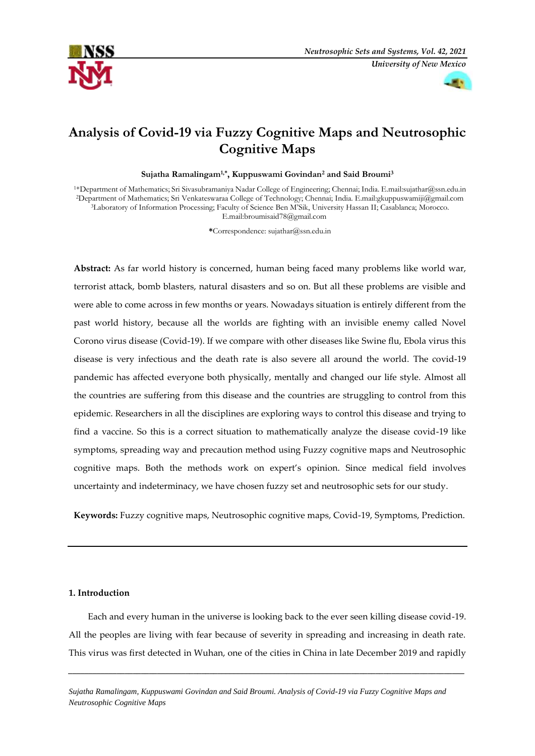



# **Analysis of Covid-19 via Fuzzy Cognitive Maps and Neutrosophic Cognitive Maps**

**Sujatha Ramalingam1,\* , Kuppuswami Govindan<sup>2</sup> and Said Broumi<sup>3</sup>**

<sup>1</sup>\*Department of Mathematics; Sri Sivasubramaniya Nadar College of Engineering; Chennai; India. E.mail:sujathar@ssn.edu.in <sup>2</sup>Department of Mathematics; Sri Venkateswaraa College of Technology; Chennai; India. E.mail[:gkuppuswamiji@gmail.com](mailto:gkuppuswamiji@gmail.com) <sup>3</sup>Laboratory of Information Processing; Faculty of Science Ben M'Sik, University Hassan II; Casablanca; Morocco. E.mail[:broumisaid78@gmail.com](mailto:broumisaid78@gmail.com)

**\***Correspondence[: sujathar@ssn.edu.in](mailto:sujathar@ssn.edu.in)

**Abstract:** As far world history is concerned, human being faced many problems like world war, terrorist attack, bomb blasters, natural disasters and so on. But all these problems are visible and were able to come across in few months or years. Nowadays situation is entirely different from the past world history, because all the worlds are fighting with an invisible enemy called Novel Corono virus disease (Covid-19). If we compare with other diseases like Swine flu, Ebola virus this disease is very infectious and the death rate is also severe all around the world. The covid-19 pandemic has affected everyone both physically, mentally and changed our life style. Almost all the countries are suffering from this disease and the countries are struggling to control from this epidemic. Researchers in all the disciplines are exploring ways to control this disease and trying to find a vaccine. So this is a correct situation to mathematically analyze the disease covid-19 like symptoms, spreading way and precaution method using Fuzzy cognitive maps and Neutrosophic cognitive maps. Both the methods work on expert's opinion. Since medical field involves uncertainty and indeterminacy, we have chosen fuzzy set and neutrosophic sets for our study.

**Keywords:** Fuzzy cognitive maps, Neutrosophic cognitive maps, Covid-19, Symptoms, Prediction.

## **1. Introduction**

Each and every human in the universe is looking back to the ever seen killing disease covid-19. All the peoples are living with fear because of severity in spreading and increasing in death rate. This virus was first detected in Wuhan, one of the cities in China in late December 2019 and rapidly

*\_\_\_\_\_\_\_\_\_\_\_\_\_\_\_\_\_\_\_\_\_\_\_\_\_\_\_\_\_\_\_\_\_\_\_\_\_\_\_\_\_\_\_\_\_\_\_\_\_\_\_\_\_\_\_\_\_\_\_\_\_\_\_\_\_\_\_\_\_\_\_\_\_\_\_\_\_\_\_\_\_\_\_\_\_\_\_\_\_\_\_\_\_\_\_\_\_\_*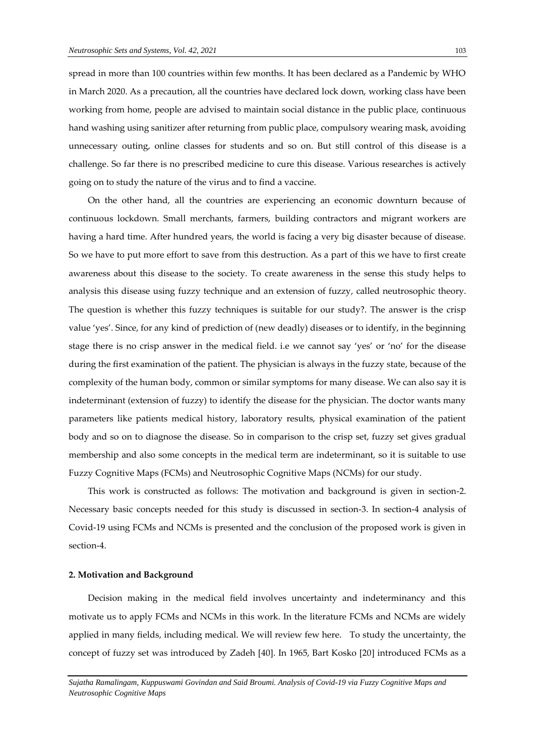spread in more than 100 countries within few months. It has been declared as a Pandemic by WHO in March 2020. As a precaution, all the countries have declared lock down, working class have been working from home, people are advised to maintain social distance in the public place, continuous hand washing using sanitizer after returning from public place, compulsory wearing mask, avoiding unnecessary outing, online classes for students and so on. But still control of this disease is a challenge. So far there is no prescribed medicine to cure this disease. Various researches is actively going on to study the nature of the virus and to find a vaccine.

On the other hand, all the countries are experiencing an economic downturn because of continuous lockdown. Small merchants, farmers, building contractors and migrant workers are having a hard time. After hundred years, the world is facing a very big disaster because of disease. So we have to put more effort to save from this destruction. As a part of this we have to first create awareness about this disease to the society. To create awareness in the sense this study helps to analysis this disease using fuzzy technique and an extension of fuzzy, called neutrosophic theory. The question is whether this fuzzy techniques is suitable for our study?. The answer is the crisp value 'yes'. Since, for any kind of prediction of (new deadly) diseases or to identify, in the beginning stage there is no crisp answer in the medical field. i.e we cannot say 'yes' or 'no' for the disease during the first examination of the patient. The physician is always in the fuzzy state, because of the complexity of the human body, common or similar symptoms for many disease. We can also say it is indeterminant (extension of fuzzy) to identify the disease for the physician. The doctor wants many parameters like patients medical history, laboratory results, physical examination of the patient body and so on to diagnose the disease. So in comparison to the crisp set, fuzzy set gives gradual membership and also some concepts in the medical term are indeterminant, so it is suitable to use Fuzzy Cognitive Maps (FCMs) and Neutrosophic Cognitive Maps (NCMs) for our study.

This work is constructed as follows: The motivation and background is given in section-2. Necessary basic concepts needed for this study is discussed in section-3. In section-4 analysis of Covid-19 using FCMs and NCMs is presented and the conclusion of the proposed work is given in section-4.

## **2. Motivation and Background**

Decision making in the medical field involves uncertainty and indeterminancy and this motivate us to apply FCMs and NCMs in this work. In the literature FCMs and NCMs are widely applied in many fields, including medical. We will review few here. To study the uncertainty, the concept of fuzzy set was introduced by Zadeh [40]. In 1965, Bart Kosko [20] introduced FCMs as a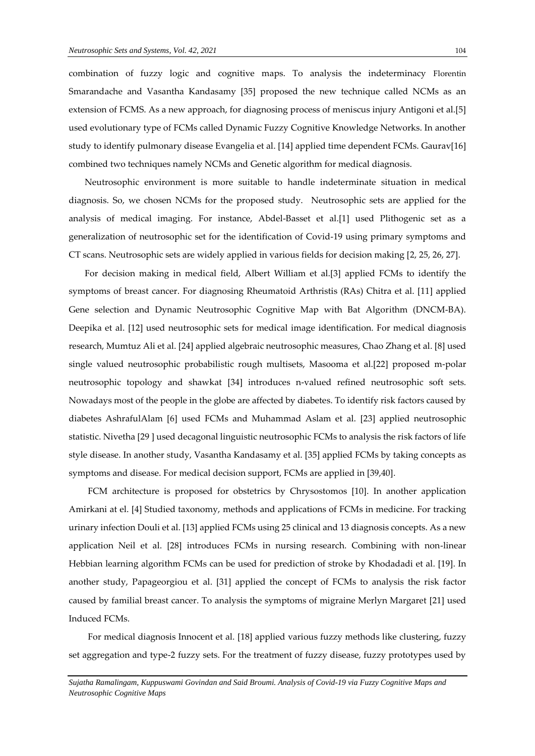combination of fuzzy logic and cognitive maps. To analysis the indeterminacy Florentin Smarandache and Vasantha Kandasamy [35] proposed the new technique called NCMs as an extension of FCMS. As a new approach, for diagnosing process of meniscus injury Antigoni et al.[5] used evolutionary type of FCMs called Dynamic Fuzzy Cognitive Knowledge Networks. In another study to identify pulmonary disease Evangelia et al. [14] applied time dependent FCMs. Gaurav[16] combined two techniques namely NCMs and Genetic algorithm for medical diagnosis.

 Neutrosophic environment is more suitable to handle indeterminate situation in medical diagnosis. So, we chosen NCMs for the proposed study. Neutrosophic sets are applied for the analysis of medical imaging. For instance, Abdel-Basset et al.[1] used Plithogenic set as a generalization of neutrosophic set for the identification of Covid-19 using primary symptoms and CT scans. Neutrosophic sets are widely applied in various fields for decision making [2, 25, 26, 27].

 For decision making in medical field, Albert William et al.[3] applied FCMs to identify the symptoms of breast cancer. For diagnosing Rheumatoid Arthristis (RAs) Chitra et al. [11] applied Gene selection and Dynamic Neutrosophic Cognitive Map with Bat Algorithm (DNCM-BA). Deepika et al. [12] used neutrosophic sets for medical image identification. For medical diagnosis research, Mumtuz Ali et al. [24] applied algebraic neutrosophic measures, Chao Zhang et al. [8] used single valued neutrosophic probabilistic rough multisets, Masooma et al.[22] proposed m-polar neutrosophic topology and shawkat [34] introduces n-valued refined neutrosophic soft sets. Nowadays most of the people in the globe are affected by diabetes. To identify risk factors caused by diabetes AshrafulAlam [6] used FCMs and Muhammad Aslam et al. [23] applied neutrosophic statistic. Nivetha [29 ] used decagonal linguistic neutrosophic FCMs to analysis the risk factors of life style disease. In another study, Vasantha Kandasamy et al. [35] applied FCMs by taking concepts as symptoms and disease. For medical decision support, FCMs are applied in [39,40].

FCM architecture is proposed for obstetrics by Chrysostomos [10]. In another application Amirkani at el. [4] Studied taxonomy, methods and applications of FCMs in medicine. For tracking urinary infection Douli et al. [13] applied FCMs using 25 clinical and 13 diagnosis concepts. As a new application Neil et al. [28] introduces FCMs in nursing research. Combining with non-linear Hebbian learning algorithm FCMs can be used for prediction of stroke by Khodadadi et al. [19]. In another study, Papageorgiou et al. [31] applied the concept of FCMs to analysis the risk factor caused by familial breast cancer. To analysis the symptoms of migraine Merlyn Margaret [21] used Induced FCMs.

For medical diagnosis Innocent et al. [18] applied various fuzzy methods like clustering, fuzzy set aggregation and type-2 fuzzy sets. For the treatment of fuzzy disease, fuzzy prototypes used by

*Sujatha Ramalingam, Kuppuswami Govindan and Said Broumi. Analysis of Covid-19 via Fuzzy Cognitive Maps and Neutrosophic Cognitive Maps*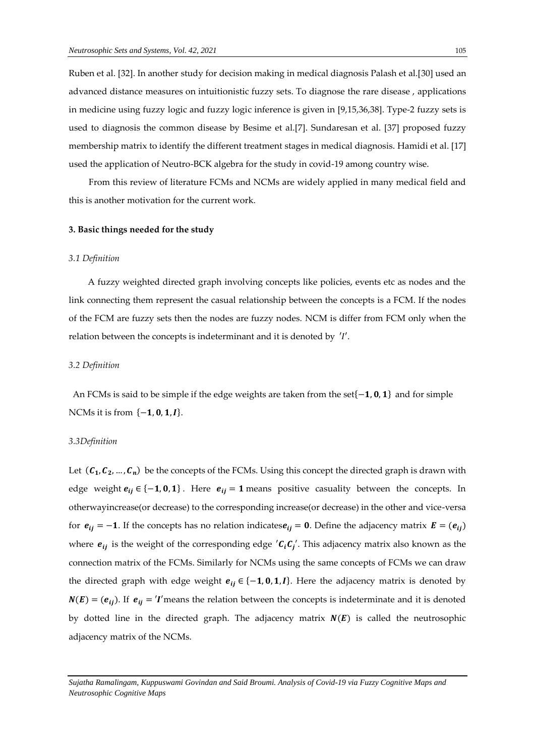Ruben et al. [32]. In another study for decision making in medical diagnosis Palash et al.[30] used an advanced distance measures on intuitionistic fuzzy sets. To diagnose the rare disease , applications in medicine using fuzzy logic and fuzzy logic inference is given in [9,15,36,38]. Type-2 fuzzy sets is used to diagnosis the common disease by Besime et al.[7]. Sundaresan et al. [37] proposed fuzzy membership matrix to identify the different treatment stages in medical diagnosis. Hamidi et al. [17] used the application of Neutro-BCK algebra for the study in covid-19 among country wise.

 From this review of literature FCMs and NCMs are widely applied in many medical field and this is another motivation for the current work.

## **3. Basic things needed for the study**

#### *3.1 Definition*

A fuzzy weighted directed graph involving concepts like policies, events etc as nodes and the link connecting them represent the casual relationship between the concepts is a FCM. If the nodes of the FCM are fuzzy sets then the nodes are fuzzy nodes. NCM is differ from FCM only when the relation between the concepts is indeterminant and it is denoted by 'I'.

## *3.2 Definition*

An FCMs is said to be simple if the edge weights are taken from the set{-1,0,1} and for simple NCMs it is from  $\{-1, 0, 1, I\}$ .

#### *3.3Definition*

Let  $(\mathcal{C}_1, \mathcal{C}_2, ..., \mathcal{C}_n)$  be the concepts of the FCMs. Using this concept the directed graph is drawn with edge weight  $e_{ij} \in \{-1, 0, 1\}$ . Here  $e_{ij} = 1$  means positive casuality between the concepts. In otherwayincrease(or decrease) to the corresponding increase(or decrease) in the other and vice-versa for  $e_{ij} = -1$ . If the concepts has no relation indicates  $e_{ij} = 0$ . Define the adjacency matrix  $E = (e_{ij})$ where  $e_{ij}$  is the weight of the corresponding edge  $'C_iC_j'$ . This adjacency matrix also known as the connection matrix of the FCMs. Similarly for NCMs using the same concepts of FCMs we can draw the directed graph with edge weight  $e_{ij} \in \{-1, 0, 1, I\}$ . Here the adjacency matrix is denoted by  $N(E) = (e_{ij})$ . If  $e_{ij} = 'I'$  means the relation between the concepts is indeterminate and it is denoted by dotted line in the directed graph. The adjacency matrix  $N(E)$  is called the neutrosophic adjacency matrix of the NCMs.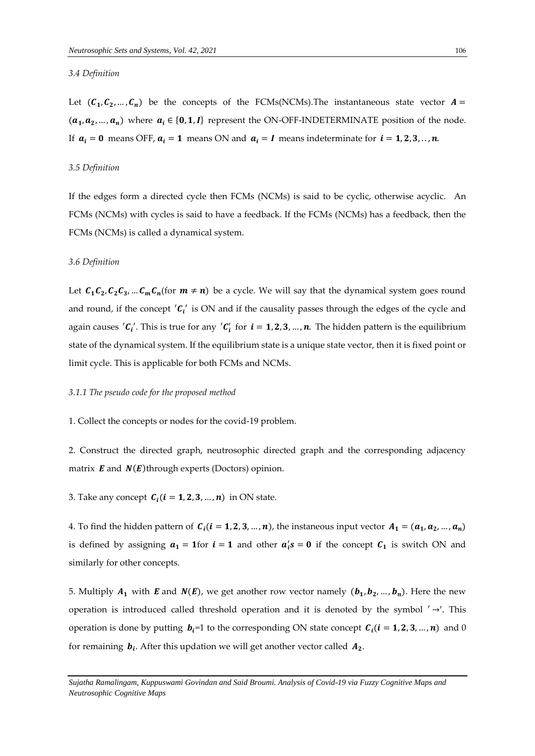## *3.4 Definition*

Let  $(C_1, C_2, ..., C_n)$  be the concepts of the FCMs(NCMs). The instantaneous state vector  $A =$  $(a_1, a_2, ..., a_n)$  where  $a_i \in \{0, 1, I\}$  represent the ON-OFF-INDETERMINATE position of the node. If  $a_i = 0$  means OFF,  $a_i = 1$  means ON and  $a_i = I$  means indeterminate for  $i = 1, 2, 3, \dots, n$ .

#### *3.5 Definition*

If the edges form a directed cycle then FCMs (NCMs) is said to be cyclic, otherwise acyclic. An FCMs (NCMs) with cycles is said to have a feedback. If the FCMs (NCMs) has a feedback, then the FCMs (NCMs) is called a dynamical system.

## *3.6 Definition*

Let  $C_1C_2$ ,  $C_2C_3$ , ...  $C_mC_n$  (for  $m \neq n$ ) be a cycle. We will say that the dynamical system goes round and round, if the concept  $'C_i'$  is ON and if the causality passes through the edges of the cycle and again causes ' $C_i'$ . This is true for any ' $C_i'$  for  $i = 1, 2, 3, ..., n$ . The hidden pattern is the equilibrium state of the dynamical system. If the equilibrium state is a unique state vector, then it is fixed point or limit cycle. This is applicable for both FCMs and NCMs.

#### *3.1.1 The pseudo code for the proposed method*

1. Collect the concepts or nodes for the covid-19 problem.

2. Construct the directed graph, neutrosophic directed graph and the corresponding adjacency matrix  $\boldsymbol{E}$  and  $\boldsymbol{N}(\boldsymbol{E})$ through experts (Doctors) opinion.

3. Take any concept  $C_i$  ( $i = 1, 2, 3, ..., n$ ) in ON state.

4. To find the hidden pattern of  $C_i$  ( $i = 1, 2, 3, ..., n$ ), the instaneous input vector  $A_1 = (a_1, a_2, ..., a_n)$ is defined by assigning  $a_1 = 1$  for  $i = 1$  and other  $a_i's = 0$  if the concept  $C_1$  is switch ON and similarly for other concepts.

5. Multiply  $A_1$  with **E** and  $N(E)$ , we get another row vector namely  $(b_1, b_2, ..., b_n)$ . Here the new operation is introduced called threshold operation and it is denoted by the symbol  $' \rightarrow'$ . This operation is done by putting  $b_i=1$  to the corresponding ON state concept  $C_i$  ( $i = 1, 2, 3, ..., n$ ) and 0 for remaining  $\,b_i$ . After this updation we will get another vector called  $\,A_2.$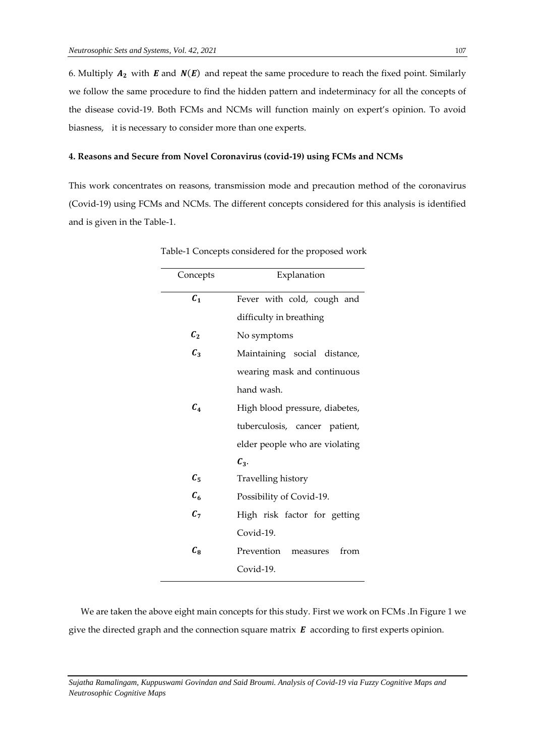6. Multiply  $A_2$  with  $E$  and  $N(E)$  and repeat the same procedure to reach the fixed point. Similarly we follow the same procedure to find the hidden pattern and indeterminacy for all the concepts of the disease covid-19. Both FCMs and NCMs will function mainly on expert's opinion. To avoid biasness, it is necessary to consider more than one experts.

## **4. Reasons and Secure from Novel Coronavirus (covid-19) using FCMs and NCMs**

This work concentrates on reasons, transmission mode and precaution method of the coronavirus (Covid-19) using FCMs and NCMs. The different concepts considered for this analysis is identified and is given in the Table-1.

| Concepts        | Explanation                    |
|-----------------|--------------------------------|
| $C_{1}$         | Fever with cold, cough and     |
|                 | difficulty in breathing        |
| $c_{2}$         | No symptoms                    |
| $C_3$           | Maintaining social distance,   |
|                 | wearing mask and continuous    |
|                 | hand wash.                     |
| $\mathcal{C}_4$ | High blood pressure, diabetes, |
|                 | tuberculosis, cancer patient,  |
|                 | elder people who are violating |
|                 | $\mathcal{C}_3$ .              |
| $C_5$           | Travelling history             |
| $C_6$           | Possibility of Covid-19.       |
| $C_7$           | High risk factor for getting   |
|                 | Covid-19.                      |
| $C_{8}$         | Prevention<br>from<br>measures |
|                 | Covid-19.                      |

Table-1 Concepts considered for the proposed work

 We are taken the above eight main concepts for this study. First we work on FCMs .In Figure 1 we give the directed graph and the connection square matrix  $E$  according to first experts opinion.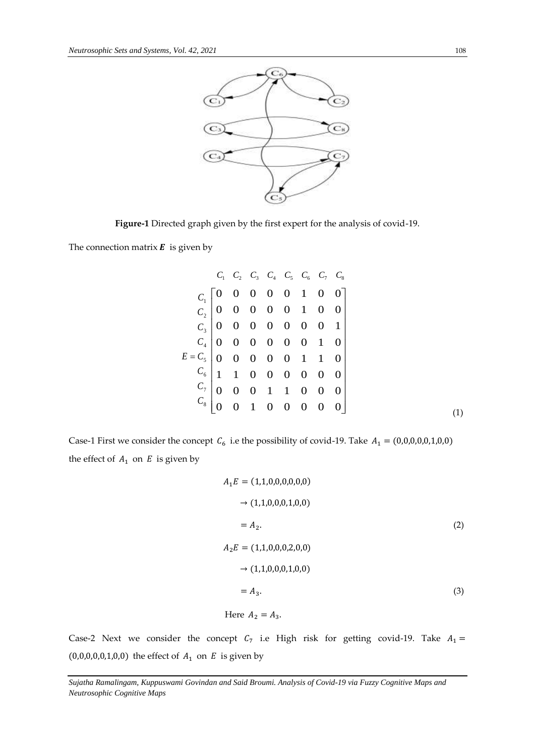

**Figure-1** Directed graph given by the first expert for the analysis of covid-19.

The connection matrix  $\boldsymbol{E}$  is given by

|                           |                                                               | $C_1$ $C_2$ $C_3$ $C_4$ $C_5$ $C_6$ $C_7$ $C_8$ |  |  |  |
|---------------------------|---------------------------------------------------------------|-------------------------------------------------|--|--|--|
| $C_{1}$                   | $\begin{bmatrix} 0 & 0 & 0 & 0 & 0 & 1 & 0 & 0 \end{bmatrix}$ |                                                 |  |  |  |
|                           | $C_2$ 0 0 0 0 0 1 0 0                                         |                                                 |  |  |  |
|                           | $C_3$ 0 0 0 0 0 0 0 1                                         |                                                 |  |  |  |
|                           | $C_4$ 0 0 0 0 0 0 1 0                                         |                                                 |  |  |  |
| $E = C_5$ 0 0 0 0 0 1 1 0 |                                                               |                                                 |  |  |  |
|                           |                                                               |                                                 |  |  |  |
|                           | $C_7$ 0 0 0 1 1 0 0 0                                         |                                                 |  |  |  |
| $C_8 \mid 0$              |                                                               | $0$ 1 0 0 0 0 0                                 |  |  |  |
|                           |                                                               |                                                 |  |  |  |

Case-1 First we consider the concept  $C_6$  i.e the possibility of covid-19. Take  $A_1 = (0,0,0,0,0,1,0,0)$ the effect of  $A_1$  on  $E$  is given by

$$
A_1E = (1,1,0,0,0,0,0,0)
$$
  
\n
$$
\rightarrow (1,1,0,0,0,1,0,0)
$$
  
\n
$$
= A_2.
$$
  
\n
$$
A_2E = (1,1,0,0,0,2,0,0)
$$
  
\n
$$
\rightarrow (1,1,0,0,0,1,0,0)
$$
  
\n
$$
= A_3.
$$
  
\n(3)

Here 
$$
A_2 = A_3
$$
.

Case-2 Next we consider the concept  $C_7$  i.e High risk for getting covid-19. Take  $A_1 =$ (0,0,0,0,0,1,0,0) the effect of  $A_1$  on  $E$  is given by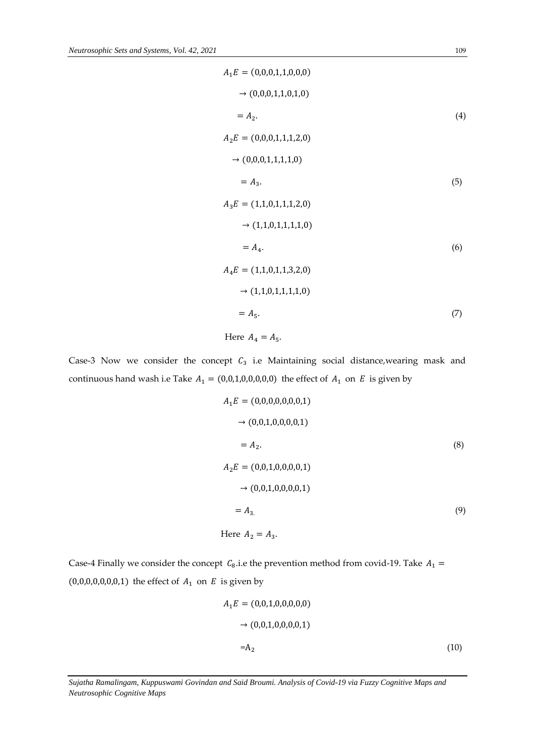$$
A_1E = (0,0,0,1,1,0,0,0)
$$
  
\n
$$
\rightarrow (0,0,0,1,1,0,1,0)
$$
  
\n
$$
= A_2.
$$
  
\n
$$
A_2E = (0,0,0,1,1,1,2,0)
$$
  
\n
$$
\rightarrow (0,0,0,1,1,1,1,0)
$$
  
\n
$$
= A_3.
$$
  
\n
$$
A_3E = (1,1,0,1,1,1,2,0)
$$
  
\n
$$
\rightarrow (1,1,0,1,1,1,1,0)
$$
  
\n
$$
= A_4.
$$
  
\n
$$
A_4E = (1,1,0,1,1,3,2,0)
$$
  
\n
$$
\rightarrow (1,1,0,1,1,1,1,0)
$$
  
\n
$$
= A_5.
$$
  
\n(7)

Here  $A_4 = A_5$ .

Case-3 Now we consider the concept  $C_3$  i.e Maintaining social distance, wearing mask and continuous hand wash i.e Take  $A_1 = (0,0,1,0,0,0,0,0)$  the effect of  $A_1$  on  $E$  is given by

$$
A_1E = (0,0,0,0,0,0,0,1)
$$
  
\n
$$
\rightarrow (0,0,1,0,0,0,0,1)
$$
  
\n
$$
= A_2.
$$
  
\n(8)  
\n
$$
A_2E = (0,0,1,0,0,0,0,1)
$$
  
\n
$$
\rightarrow (0,0,1,0,0,0,0,1)
$$
  
\n
$$
= A_3.
$$
  
\n(9)  
\nHere  $A_2 = A_3.$ 

Case-4 Finally we consider the concept  $C_8$  i.e the prevention method from covid-19. Take  $A_1 =$ (0,0,0,0,0,0,0,1) the effect of  $A_1$  on  $E$  is given by

$$
A_1E = (0,0,1,0,0,0,0,0)
$$
  
\n
$$
\rightarrow (0,0,1,0,0,0,0,1)
$$
  
\n
$$
=A_2
$$
 (10)

*Sujatha Ramalingam, Kuppuswami Govindan and Said Broumi. Analysis of Covid-19 via Fuzzy Cognitive Maps and Neutrosophic Cognitive Maps*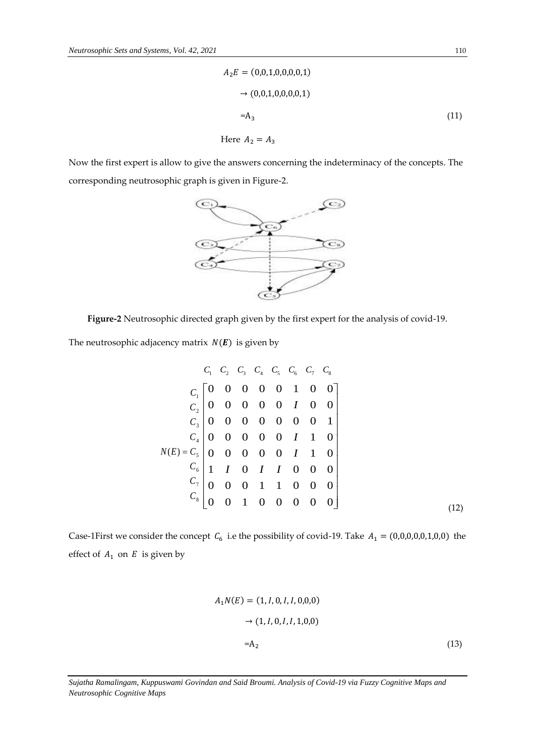$$
A_2E = (0,0,1,0,0,0,0,1)
$$
  
\n
$$
\rightarrow (0,0,1,0,0,0,0,1)
$$
  
\n
$$
= A_3
$$
 (11)

Here  $A_2 = A_3$ 

Now the first expert is allow to give the answers concerning the indeterminacy of the concepts. The corresponding neutrosophic graph is given in Figure-2.



**Figure-2** Neutrosophic directed graph given by the first expert for the analysis of covid-19.

The neutrosophic adjacency matrix  $N(E)$  is given by

$$
C_1 \begin{bmatrix} C_1 & C_2 & C_3 & C_4 & C_5 & C_6 & C_7 & C_8 \end{bmatrix}
$$
\n
$$
C_1 \begin{bmatrix} 0 & 0 & 0 & 0 & 0 & 1 & 0 & 0 \\ 0 & 0 & 0 & 0 & 0 & 1 & 0 & 0 \\ 0 & 0 & 0 & 0 & 0 & 0 & 0 & 1 \\ 0 & 0 & 0 & 0 & 0 & 0 & 1 & 1 & 0 \\ 0 & 0 & 0 & 0 & 0 & 1 & 1 & 0 \\ 0 & 0 & 0 & 0 & 0 & 1 & 1 & 0 \\ 0 & 0 & 0 & 1 & 1 & 0 & 0 & 0 \\ 0 & 0 & 0 & 1 & 1 & 0 & 0 & 0 \\ 0 & 0 & 0 & 1 & 0 & 0 & 0 & 0 \end{bmatrix}
$$
\n
$$
(12)
$$

Case-1First we consider the concept  $C_6$  i.e the possibility of covid-19. Take  $A_1 = (0,0,0,0,0,1,0,0)$  the effect of  $A_1$  on  $E$  is given by

$$
A_1 N(E) = (1, I, 0, I, I, 0, 0, 0)
$$
  
\n
$$
\rightarrow (1, I, 0, I, I, 1, 0, 0)
$$
  
\n
$$
= A_2
$$
 (13)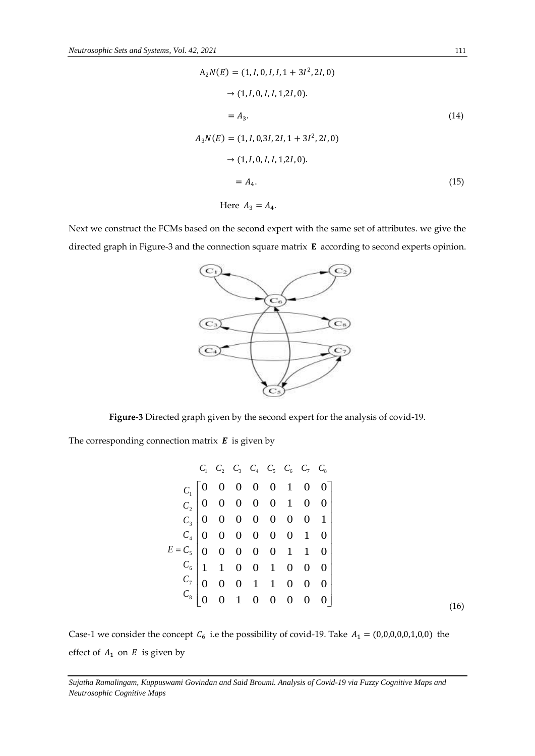$$
A_2N(E) = (1, I, 0, I, I, 1 + 3I^2, 2I, 0)
$$
  
\n
$$
\rightarrow (1, I, 0, I, I, 1, 2I, 0).
$$
  
\n
$$
= A_3.
$$
  
\n
$$
A_3N(E) = (1, I, 0, 3I, 2I, 1 + 3I^2, 2I, 0)
$$
  
\n
$$
\rightarrow (1, I, 0, I, I, 1, 2I, 0).
$$
  
\n
$$
= A_4.
$$
  
\n(15)

Here  $A_3 = A_4$ .

Next we construct the FCMs based on the second expert with the same set of attributes. we give the directed graph in Figure-3 and the connection square matrix  $E$  according to second experts opinion.



**Figure-3** Directed graph given by the second expert for the analysis of covid-19.

The corresponding connection matrix  $\boldsymbol{E}$  is given by

$$
C_1 \ C_2 \ C_3 \ C_4 \ C_5 \ C_6 \ C_7 \ C_8
$$
\n
$$
C_1 \begin{bmatrix} 0 & 0 & 0 & 0 & 0 & 1 & 0 & 0 \\ 0 & 0 & 0 & 0 & 0 & 1 & 0 & 0 \\ 0 & 0 & 0 & 0 & 0 & 1 & 0 & 0 \\ 0 & 0 & 0 & 0 & 0 & 0 & 0 & 1 \\ 0 & 0 & 0 & 0 & 0 & 0 & 1 & 0 \\ 0 & 0 & 0 & 0 & 0 & 1 & 1 & 0 \\ 0 & 0 & 0 & 1 & 1 & 0 & 0 & 0 \\ 0 & 0 & 0 & 1 & 1 & 0 & 0 & 0 \\ 0 & 0 & 0 & 1 & 0 & 0 & 0 & 0 \end{bmatrix}
$$
\n
$$
E = C_5 \begin{bmatrix} 0 & 0 & 0 & 0 & 0 & 1 & 1 & 0 \\ 0 & 0 & 0 & 0 & 1 & 1 & 0 & 0 \\ 0 & 0 & 0 & 1 & 1 & 0 & 0 & 0 \\ 0 & 0 & 0 & 0 & 0 & 0 & 0 \end{bmatrix}
$$
\n(16)

Case-1 we consider the concept  $C_6$  i.e the possibility of covid-19. Take  $A_1 = (0,0,0,0,0,1,0,0)$  the effect of  $A_1$  on  $E$  is given by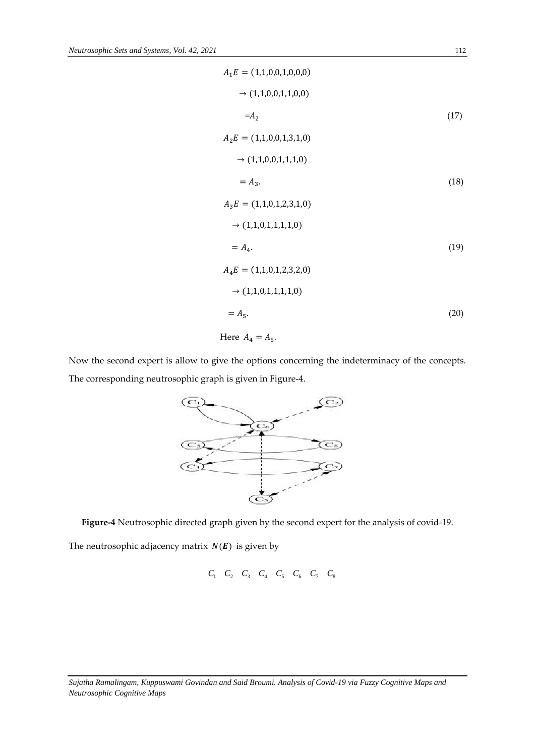$$
A_1E = (1,1,0,0,1,0,0,0)
$$
  
\n
$$
\rightarrow (1,1,0,0,1,1,0,0)
$$
  
\n
$$
= A_2
$$
  
\n
$$
A_2E = (1,1,0,0,1,3,1,0)
$$
  
\n
$$
\rightarrow (1,1,0,0,1,1,1,0)
$$
  
\n
$$
= A_3.
$$
  
\n
$$
A_3E = (1,1,0,1,2,3,1,0)
$$
  
\n
$$
\rightarrow (1,1,0,1,1,1,1,0)
$$
  
\n
$$
= A_4.
$$
  
\n
$$
A_4E = (1,1,0,1,2,3,2,0)
$$
  
\n
$$
\rightarrow (1,1,0,1,1,1,1,0)
$$
  
\n
$$
= A_5.
$$
  
\n(20)

Here  $A_4 = A_5$ .

Now the second expert is allow to give the options concerning the indeterminacy of the concepts. The corresponding neutrosophic graph is given in Figure-4.



**Figure-4** Neutrosophic directed graph given by the second expert for the analysis of covid-19.

The neutrosophic adjacency matrix  $N(E)$  is given by

$$
C_1 \quad C_2 \quad C_3 \quad C_4 \quad C_5 \quad C_6 \quad C_7 \quad C_8
$$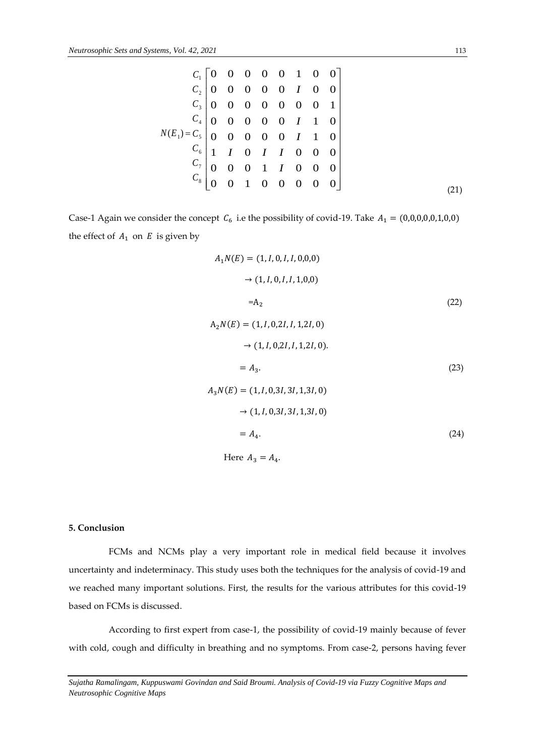$$
C_1 \begin{bmatrix} 0 & 0 & 0 & 0 & 0 & 1 & 0 & 0 \\ 0 & 0 & 0 & 0 & 0 & I & 0 & 0 \\ C_2 \end{bmatrix}
$$
  
\n
$$
C_3 \begin{bmatrix} 0 & 0 & 0 & 0 & 0 & 1 & 0 & 0 \\ 0 & 0 & 0 & 0 & 0 & 0 & 0 & 1 \\ 0 & 0 & 0 & 0 & 0 & I & 1 & 0 \\ 0 & 0 & 0 & 0 & 0 & I & 1 & 0 \\ C_6 \end{bmatrix}
$$
  
\n
$$
N(E_1) = C_5 \begin{bmatrix} 0 & 0 & 0 & 0 & 0 & 1 & 1 & 0 \\ 0 & 0 & 0 & 0 & 0 & I & 1 & 0 \\ 0 & 0 & 0 & 1 & I & 0 & 0 & 0 \\ 0 & 0 & 0 & 1 & I & 0 & 0 & 0 \\ 0 & 0 & 0 & 0 & 0 & 0 & 0 & 0 \end{bmatrix}
$$
 (21)

Case-1 Again we consider the concept  $C_6$  i.e the possibility of covid-19. Take  $A_1 = (0,0,0,0,0,1,0,0)$ the effect of  $A_1$  on  $E$  is given by

$$
A_1N(E) = (1, I, 0, I, I, 0, 0, 0)
$$
  
\n
$$
\rightarrow (1, I, 0, I, I, 1, 0, 0)
$$
  
\n
$$
= A_2
$$
  
\n
$$
A_2N(E) = (1, I, 0, 2I, I, 1, 2I, 0)
$$
  
\n
$$
\rightarrow (1, I, 0, 2I, I, 1, 2I, 0).
$$
  
\n
$$
= A_3.
$$
  
\n
$$
A_3N(E) = (1, I, 0, 3I, 3I, 1, 3I, 0)
$$
  
\n
$$
\rightarrow (1, I, 0, 3I, 3I, 1, 3I, 0)
$$
  
\n
$$
= A_4.
$$
  
\n(24)

Here  $A_3 = A_4$ .

## **5. Conclusion**

 FCMs and NCMs play a very important role in medical field because it involves uncertainty and indeterminacy. This study uses both the techniques for the analysis of covid-19 and we reached many important solutions. First, the results for the various attributes for this covid-19 based on FCMs is discussed.

 According to first expert from case-1, the possibility of covid-19 mainly because of fever with cold, cough and difficulty in breathing and no symptoms. From case-2, persons having fever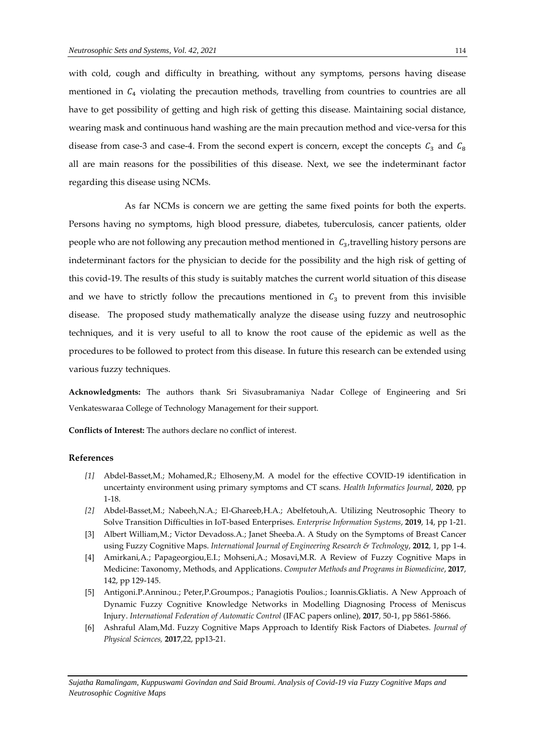with cold, cough and difficulty in breathing, without any symptoms, persons having disease mentioned in  $C_4$  violating the precaution methods, travelling from countries to countries are all have to get possibility of getting and high risk of getting this disease. Maintaining social distance, wearing mask and continuous hand washing are the main precaution method and vice-versa for this disease from case-3 and case-4. From the second expert is concern, except the concepts  $C_3$  and  $C_8$ all are main reasons for the possibilities of this disease. Next, we see the indeterminant factor regarding this disease using NCMs.

 As far NCMs is concern we are getting the same fixed points for both the experts. Persons having no symptoms, high blood pressure, diabetes, tuberculosis, cancer patients, older people who are not following any precaution method mentioned in  $C_3$ , travelling history persons are indeterminant factors for the physician to decide for the possibility and the high risk of getting of this covid-19. The results of this study is suitably matches the current world situation of this disease and we have to strictly follow the precautions mentioned in  $C_3$  to prevent from this invisible disease. The proposed study mathematically analyze the disease using fuzzy and neutrosophic techniques, and it is very useful to all to know the root cause of the epidemic as well as the procedures to be followed to protect from this disease. In future this research can be extended using various fuzzy techniques.

**Acknowledgments:** The authors thank Sri Sivasubramaniya Nadar College of Engineering and Sri Venkateswaraa College of Technology Management for their support.

**Conflicts of Interest:** The authors declare no conflict of interest.

## **References**

- *[1]* Abdel-Basset,M.; Mohamed,R.; Elhoseny,M. A model for the effective COVID-19 identification in uncertainty environment using primary symptoms and CT scans. *Health Informatics Journal*, **2020**, pp 1-18.
- *[2]* Abdel-Basset,M.; Nabeeh,N.A.; El-Ghareeb,H.A.; Abelfetouh,A. Utilizing Neutrosophic Theory to Solve Transition Difficulties in IoT-based Enterprises. *Enterprise Information Systems*, **2019**, 14, pp 1-21.
- [3] Albert William,M.; Victor Devadoss.A.; Janet Sheeba.A. A Study on the Symptoms of Breast Cancer using Fuzzy Cognitive Maps. *International Journal of Engineering Research & Technology*, **2012**, 1, pp 1-4.
- [4] Amirkani,A.; Papageorgiou,E.I.; Mohseni,A.; Mosavi,M.R. A Review of Fuzzy Cognitive Maps in Medicine: Taxonomy, Methods, and Applications. *Computer Methods and Programs in Biomedicine*, **2017**, 142, pp 129-145.
- [5] Antigoni.P.Anninou.; Peter,P.Groumpos.; Panagiotis Poulios.; Ioannis.Gkliatis. A New Approach of Dynamic Fuzzy Cognitive Knowledge Networks in Modelling Diagnosing Process of Meniscus Injury. *International Federation of Automatic Control* (IFAC papers online), **2017**, 50-1, pp 5861-5866.
- [6] Ashraful Alam,Md. Fuzzy Cognitive Maps Approach to Identify Risk Factors of Diabetes. *Journal of Physical Sciences,* **2017**,22, pp13-21.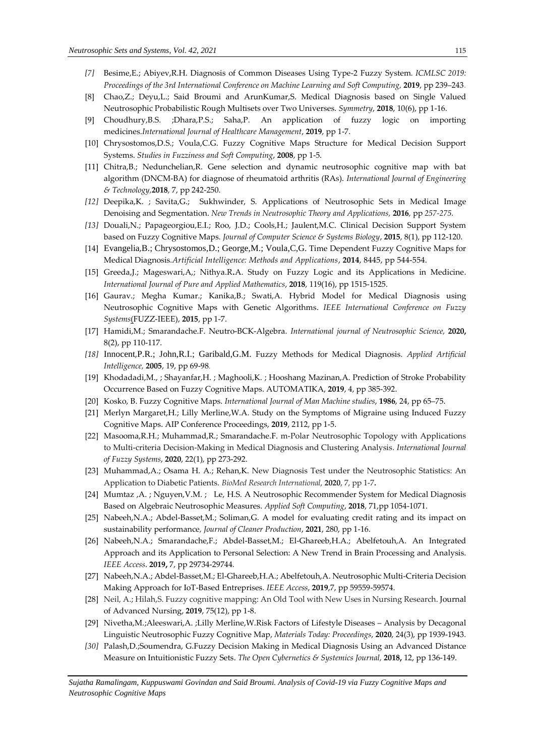- *[7]* Besime,E.; Abiyev,R.H. Diagnosis of Common Diseases Using Type-2 Fuzzy System*. [ICMLSC 2019:](https://dl.acm.org/doi/proceedings/10.1145/3310986)  [Proceedings of the 3rd International Conference on Machine Learning and Soft Computing,](https://dl.acm.org/doi/proceedings/10.1145/3310986)* **2019**, pp 239–243.
- [8] Chao,Z.; Deyu,L.; Said Broumi and ArunKumar,S. Medical Diagnosis based on Single Valued Neutrosophic Probabilistic Rough Multisets over Two Universes. *Symmetry*, **2018**, 10(6), pp 1-16.
- [9] Choudhury,B.S. ;Dhara,P.S.; Saha,P. An application of fuzzy logic on importing medicines.*International Journal of Healthcare Management*, **2019**, pp 1-7.
- [10] Chrysostomos, D.S.; Voula, C.G. Fuzzy Cognitive Maps Structure for Medical Decision Support Systems. *Studies in Fuzziness and Soft Computing*, **2008**, pp 1-5.
- [11] Chitra,B.; Nedunchelian,R. Gene selection and dynamic neutrosophic cognitive map with bat algorithm (DNCM-BA) for diagnose of rheumatoid arthritis (RAs). *International Journal of Engineering & Technology,***2018**, 7, pp 242-250.
- *[12]* Deepika,K. ; Savita,G.; Sukhwinder, S. Applications of Neutrosophic Sets in Medical Image Denoising and Segmentation. *New Trends in Neutrosophic Theory and Applications,* **2016***,* pp *257-275.*
- *[13]* Douali,N.; Papageorgiou,E.I.; Roo, J.D.; Cools,H.; Jaulent,M.C. Clinical Decision Support System based on Fuzzy Cognitive Maps*. Journal of Computer Science & Systems Biology*, **2015**, 8(1), pp 112-120.
- [14] Evangelia,B.; Chrysostomos,D.; George,M.; Voula,C,G. Time Dependent Fuzzy Cognitive Maps for Medical Diagnosis*[.Artificial Intelligence: Methods and Applications](https://link.springer.com/book/10.1007/978-3-319-07064-3)*, **2014**, 8445, pp 544-554.
- [15] Greeda,J.; Mageswari,A,; Nithya.R.A. Study on Fuzzy Logic and its Applications in Medicine. *International Journal of Pure and Applied Mathematics*, **2018**, 119(16), pp 1515-1525.
- [16] Gaurav.; Megha Kumar.; Kanika,B.; Swati,A. Hybrid Model for Medical Diagnosis using Neutrosophic Cognitive Maps with Genetic Algorithms. *[IEEE International Conference on Fuzzy](https://ieeexplore.ieee.org/xpl/conhome/7329077/proceeding)  [Systems](https://ieeexplore.ieee.org/xpl/conhome/7329077/proceeding)*[\(FUZZ-IEEE\),](https://ieeexplore.ieee.org/xpl/conhome/7329077/proceeding) **2015**, pp 1-7.
- [17] Hamidi,M.; Smarandache.F. Neutro-BCK-Algebra. *International journal of Neutrosophic Science,* **2020,** 8(2), pp 110-117.
- *[18]* Innocent,P.R.; John,R.I.; Garibald,G.M. Fuzzy Methods for Medical Diagnosis. *Applied Artificial Intelligence,* **2005**, 19, pp 69-98.
- [19] Khodadadi,M., ; Shayanfar,H. ; Maghooli,K. ; Hooshang Mazinan,A. Prediction of Stroke Probability Occurrence Based on Fuzzy Cognitive Maps. AUTOMATIKA, **2019**, 4, pp 385-392.
- [20] Kosko, B. Fuzzy Cognitive Maps. *International Journal of Man Machine studies*, **1986**, 24, pp 65–75.
- [21] Merlyn Margaret,H.; Lilly Merline,W.A. Study on the Symptoms of Migraine using Induced Fuzzy Cognitive Maps. AIP Conference Proceedings, **2019**, 2112, pp 1-5.
- [22] Masooma,R.H.; Muhammad,R.; [Smarandache.](https://www.researchgate.net/profile/Florentin_Smarandache)F. m-Polar Neutrosophic Topology with Applications to Multi-criteria Decision-Making in Medical Diagnosis and Clustering Analysis. *[International](https://www.researchgate.net/journal/1562-2479_International_Journal_of_Fuzzy_Systems) Journal of Fuzzy [Systems](https://www.researchgate.net/journal/1562-2479_International_Journal_of_Fuzzy_Systems)*, **2020**, 22(1), pp 273-292.
- [23] [Muhammad,A.;](https://www.researchgate.net/profile/Muhammad_Aslam2) Osama H. A.; Rehan,K. New Diagnosis Test under the Neutrosophic Statistics: An Application to Diabetic Patients. *BioMed Research International*, **2020**, 7, pp 1-7**.**
- [24] Mumtaz ,A. ; Nguyen,V.M. ; Le, H.S. A Neutrosophic Recommender System for Medical Diagnosis Based on Algebraic Neutrosophic Measures. *Applied Soft Computing*, **2018**, 71,pp 1054-1071.
- [25] Nabeeh,N.A.; Abdel-Basset,M.; Soliman,G. A model for evaluating credit rating and its impact on sustainability performance*, Journal of Cleaner Production*, **2021**, 280, pp 1-16.
- [26] Nabeeh,N.A.; Smarandache,F.; Abdel-Basset,M.; El-Ghareeb,H.A.; Abelfetouh,A. An Integrated Approach and its Application to Personal Selection: A New Trend in Brain Processing and Analysis. *IEEE Access*. **2019,** 7, pp 29734-29744.
- [27] Nabeeh,N.A.; Abdel-Basset,M.; El-Ghareeb,H.A.; Abelfetouh,A. Neutrosophic Multi-Criteria Decision Making Approach for IoT-Based Entreprises. *IEEE Access*, **2019**,7, pp 59559-59574.
- [28] Neil, A.; Hilah,S. Fuzzy cognitive mapping: An Old Tool with New Uses in Nursing Research. [Journal](https://www.researchgate.net/journal/0309-2402_Journal_of_Advanced_Nursing) of [Advanced](https://www.researchgate.net/journal/0309-2402_Journal_of_Advanced_Nursing) Nursing, **2019**, 75(12), pp 1-8.
- [29] Nivetha,M.;Aleeswari,A. ;Lilly Merline,W.Risk Factors of Lifestyle Diseases Analysis by Decagonal Linguistic Neutrosophic Fuzzy Cognitive Map, *Materials Today: Proceedings*, **2020**, 24(3), pp 1939-1943.
- *[30]* Palash,D.;Soumendra, G.Fuzzy Decision Making in Medical Diagnosis Using an Advanced Distance Measure on Intuitionistic Fuzzy Sets. *The Open Cybernetics & Systemics Journal,* **2018,** 12, pp 136-149.